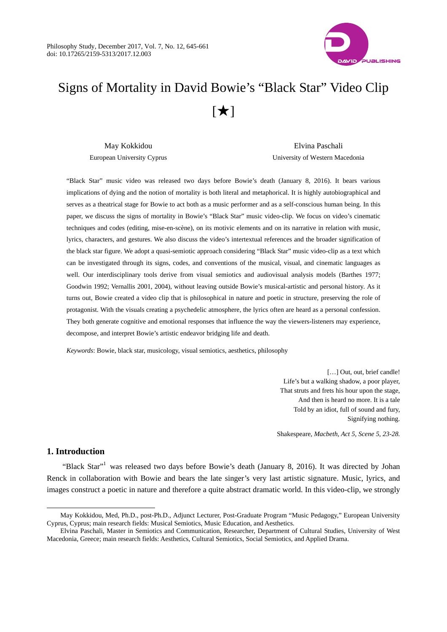

# Signs of Mortality in David Bowie's "Black Star" Video Clip  $[\star]$

May Kokkidou European University Cyprus

Elvina Paschali University of Western Macedonia

"Black Star" music video was released two days before Bowie's death (January 8, 2016). It bears various implications of dying and the notion of mortality is both literal and metaphorical. It is highly autobiographical and serves as a theatrical stage for Bowie to act both as a music performer and as a self-conscious human being. In this paper, we discuss the signs of mortality in Bowie's "Black Star" music video-clip. We focus on video's cinematic techniques and codes (editing, mise-en-scène), on its motivic elements and on its narrative in relation with music, lyrics, characters, and gestures. We also discuss the video's intertextual references and the broader signification of the black star figure. We adopt a quasi-semiotic approach considering "Black Star" music video-clip as a text which can be investigated through its signs, codes, and conventions of the musical, visual, and cinematic languages as well. Our interdisciplinary tools derive from visual semiotics and audiovisual analysis models (Barthes 1977; Goodwin 1992; Vernallis 2001, 2004), without leaving outside Bowie's musical-artistic and personal history. As it turns out, Bowie created a video clip that is philosophical in nature and poetic in structure, preserving the role of protagonist. With the visuals creating a psychedelic atmosphere, the lyrics often are heard as a personal confession. They both generate cognitive and emotional responses that influence the way the viewers-listeners may experience, decompose, and interpret Bowie's artistic endeavor bridging life and death.

*Keywords*: Bowie, black star, musicology, visual semiotics, aesthetics, philosophy

[...] Out, out, brief candle! Life's but a walking shadow, a poor player, That struts and frets his hour upon the stage, And then is heard no more. It is a tale Told by an idiot, full of sound and fury, Signifying nothing.

Shakespeare, *Macbeth, Act 5, Scene 5, 23-28.*

# **1. Introduction**

 $\overline{a}$ 

"Black Star"<sup>1</sup> was released two days before Bowie's death (January 8, 2016). It was directed by Johan Renck in collaboration with Bowie and bears the late singer's very last artistic signature. Music, lyrics, and images construct a poetic in nature and therefore a quite abstract dramatic world. In this video-clip, we strongly

May Kokkidou, Med, Ph.D., post-Ph.D., Adjunct Lecturer, Post-Graduate Program "Music Pedagogy," European University Cyprus, Cyprus; main research fields: Musical Semiotics, Music Education, and Aesthetics.

Elvina Paschali, Master in Semiotics and Communication, Researcher, Department of Cultural Studies, University of West Macedonia, Greece; main research fields: Aesthetics, Cultural Semiotics, Social Semiotics, and Applied Drama.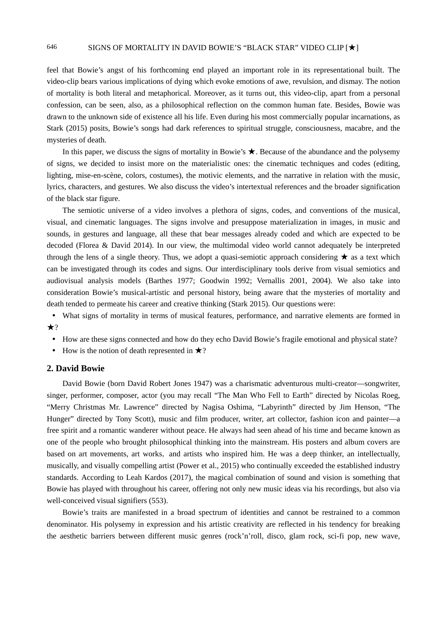feel that Bowie's angst of his forthcoming end played an important role in its representational built. The video-clip bears various implications of dying which evoke emotions of awe, revulsion, and dismay. The notion of mortality is both literal and metaphorical. Moreover, as it turns out, this video-clip, apart from a personal confession, can be seen, also, as a philosophical reflection on the common human fate. Besides, Bowie was drawn to the unknown side of existence all his life. Even during his most commercially popular incarnations, as Stark (2015) posits, Bowie's songs had dark references to spiritual struggle, consciousness, macabre, and the mysteries of death.

In this paper, we discuss the signs of mortality in Bowie's ★. Because of the abundance and the polysemy of signs, we decided to insist more on the materialistic ones: the cinematic techniques and codes (editing, lighting, mise-en-scène, colors, costumes), the motivic elements, and the narrative in relation with the music, lyrics, characters, and gestures. We also discuss the video's intertextual references and the broader signification of the black star figure.

The semiotic universe of a video involves a plethora of signs, codes, and conventions of the musical, visual, and cinematic languages. The signs involve and presuppose materialization in images, in music and sounds, in gestures and language, all these that bear messages already coded and which are expected to be decoded (Florea & David 2014). In our view, the multimodal video world cannot adequately be interpreted through the lens of a single theory. Thus, we adopt a quasi-semiotic approach considering  $\star$  as a text which can be investigated through its codes and signs. Our interdisciplinary tools derive from visual semiotics and audiovisual analysis models (Barthes 1977; Goodwin 1992; Vernallis 2001, 2004). We also take into consideration Bowie's musical-artistic and personal history, being aware that the mysteries of mortality and death tended to permeate his career and creative thinking (Stark 2015). Our questions were:

- What signs of mortality in terms of musical features, performance, and narrative elements are formed in  $\star$ ?
- How are these signs connected and how do they echo David Bowie's fragile emotional and physical state?
- How is the notion of death represented in  $\star$ ?

#### **2. David Bowie**

David Bowie (born David Robert Jones 1947) was a charismatic adventurous multi-creator—songwriter, singer, performer, composer, actor (you may recall "The Man Who Fell to Earth" directed by Nicolas Roeg, "Merry Christmas Mr. Lawrence" directed by Nagisa Oshima, "Labyrinth" directed by Jim Henson, "The Hunger" directed by Tony Scott), music and film producer, writer, art collector, fashion icon and painter—a free spirit and a romantic wanderer without peace. He always had seen ahead of his time and became known as one of the people who brought philosophical thinking into the mainstream. His posters and album covers are based on art movements, art works, and artists who inspired him. He was a deep thinker, an intellectually, musically, and visually compelling artist (Power et al., 2015) who continually exceeded the established industry standards. According to Leah Kardos (2017), the magical combination of sound and vision is something that Bowie has played with throughout his career, offering not only new music ideas via his recordings, but also via well-conceived visual signifiers (553).

Bowie's traits are manifested in a broad spectrum of identities and cannot be restrained to a common denominator. His polysemy in expression and his artistic creativity are reflected in his tendency for breaking the aesthetic barriers between different music genres (rock'n'roll, disco, glam rock, sci-fi pop, new wave,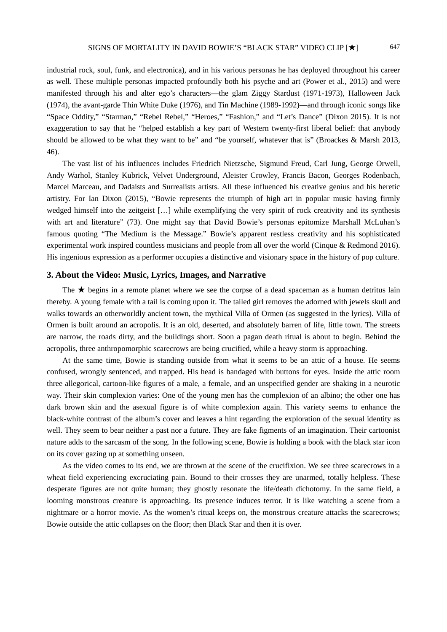industrial rock, soul, funk, and electronica), and in his various personas he has deployed throughout his career as well. These multiple personas impacted profoundly both his psyche and art (Power et al., 2015) and were manifested through his and alter ego's characters—the glam Ziggy Stardust (1971-1973), Halloween Jack (1974), the avant-garde Thin White Duke (1976), and Tin Machine (1989-1992)—and through iconic songs like "Space Oddity," "Starman," "Rebel Rebel," "Heroes," "Fashion," and "Let's Dance" (Dixon 2015). It is not exaggeration to say that he "helped establish a key part of Western twenty-first liberal belief: that anybody should be allowed to be what they want to be" and "be yourself, whatever that is" (Broackes & Marsh 2013, 46).

The vast list of his influences includes Friedrich Nietzsche, Sigmund Freud, Carl Jung, George Orwell, Andy Warhol, Stanley Kubrick, Velvet Underground, Aleister Crowley, Francis Bacon, Georges Rodenbach, Marcel Marceau, and Dadaists and Surrealists artists. All these influenced his creative genius and his heretic artistry. For Ian Dixon (2015), "Bowie represents the triumph of high art in popular music having firmly wedged himself into the zeitgeist […] while exemplifying the very spirit of rock creativity and its synthesis with art and literature" (73). One might say that David Bowie's personas epitomize Marshall McLuhan's famous quoting "The Medium is the Message." Bowie's apparent restless creativity and his sophisticated experimental work inspired countless musicians and people from all over the world (Cinque & Redmond 2016). His ingenious expression as a performer occupies a distinctive and visionary space in the history of pop culture.

## **3. About the Video: Music, Lyrics, Images, and Narrative**

The ★ begins in a remote planet where we see the corpse of a dead spaceman as a human detritus lain thereby. A young female with a tail is coming upon it. The tailed girl removes the adorned with jewels skull and walks towards an otherworldly ancient town, the mythical Villa of Ormen (as suggested in the lyrics). Villa of Ormen is built around an acropolis. It is an old, deserted, and absolutely barren of life, little town. The streets are narrow, the roads dirty, and the buildings short. Soon a pagan death ritual is about to begin. Behind the acropolis, three anthropomorphic scarecrows are being crucified, while a heavy storm is approaching.

At the same time, Bowie is standing outside from what it seems to be an attic of a house. He seems confused, wrongly sentenced, and trapped. His head is bandaged with buttons for eyes. Inside the attic room three allegorical, cartoon-like figures of a male, a female, and an unspecified gender are shaking in a neurotic way. Their skin complexion varies: One of the young men has the complexion of an albino; the other one has dark brown skin and the asexual figure is of white complexion again. This variety seems to enhance the black-white contrast of the album's cover and leaves a hint regarding the exploration of the sexual identity as well. They seem to bear neither a past nor a future. They are fake figments of an imagination. Their cartoonist nature adds to the sarcasm of the song. In the following scene, Bowie is holding a book with the black star icon on its cover gazing up at something unseen.

As the video comes to its end, we are thrown at the scene of the crucifixion. We see three scarecrows in a wheat field experiencing excruciating pain. Bound to their crosses they are unarmed, totally helpless. These desperate figures are not quite human; they ghostly resonate the life/death dichotomy. In the same field, a looming monstrous creature is approaching. Its presence induces terror. It is like watching a scene from a nightmare or a horror movie. As the women's ritual keeps on, the monstrous creature attacks the scarecrows; Bowie outside the attic collapses on the floor; then Black Star and then it is over.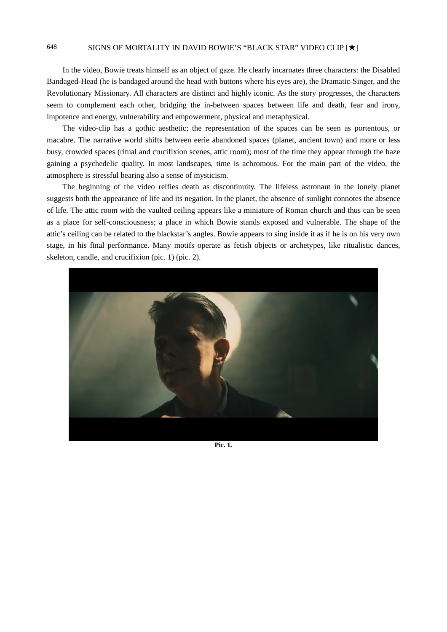In the video, Bowie treats himself as an object of gaze. He clearly incarnates three characters: the Disabled Bandaged-Head (he is bandaged around the head with buttons where his eyes are), the Dramatic-Singer, and the Revolutionary Missionary. All characters are distinct and highly iconic. As the story progresses, the characters seem to complement each other, bridging the in-between spaces between life and death, fear and irony, impotence and energy, vulnerability and empowerment, physical and metaphysical.

The video-clip has a gothic aesthetic; the representation of the spaces can be seen as portentous, or macabre. The narrative world shifts between eerie abandoned spaces (planet, ancient town) and more or less busy, crowded spaces (ritual and crucifixion scenes, attic room); most of the time they appear through the haze gaining a psychedelic quality. In most landscapes, time is achromous. For the main part of the video, the atmosphere is stressful bearing also a sense of mysticism.

The beginning of the video reifies death as discontinuity. The lifeless astronaut in the lonely planet suggests both the appearance of life and its negation. In the planet, the absence of sunlight connotes the absence of life. The attic room with the vaulted ceiling appears like a miniature of Roman church and thus can be seen as a place for self-consciousness; a place in which Bowie stands exposed and vulnerable. The shape of the attic's ceiling can be related to the blackstar's angles. Bowie appears to sing inside it as if he is on his very own stage, in his final performance. Many motifs operate as fetish objects or archetypes, like ritualistic dances, skeleton, candle, and crucifixion (pic. 1) (pic. 2).



**Pic. 1.**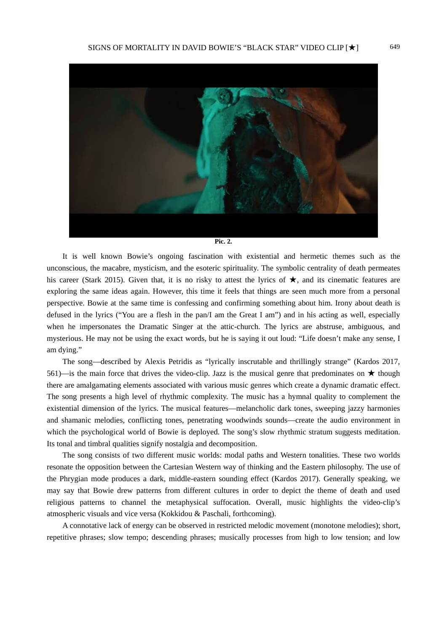

It is well known Bowie's ongoing fascination with existential and hermetic themes such as the unconscious, the macabre, mysticism, and the esoteric spirituality. The symbolic centrality of death permeates his career (Stark 2015). Given that, it is no risky to attest the lyrics of  $\star$ , and its cinematic features are exploring the same ideas again. However, this time it feels that things are seen much more from a personal perspective. Bowie at the same time is confessing and confirming something about him. Irony about death is defused in the lyrics ("You are a flesh in the pan/I am the Great I am") and in his acting as well, especially when he impersonates the Dramatic Singer at the attic-church. The lyrics are abstruse, ambiguous, and mysterious. He may not be using the exact words, but he is saying it out loud: "Life doesn't make any sense, I am dying."

The song—described by Alexis Petridis as "lyrically inscrutable and thrillingly strange" (Kardos 2017, 561)—is the main force that drives the video-clip. Jazz is the musical genre that predominates on  $\star$  though there are amalgamating elements associated with various music genres which create a dynamic dramatic effect. The song presents a high level of rhythmic complexity. The music has a hymnal quality to complement the existential dimension of the lyrics. The musical features—melancholic dark tones, sweeping jazzy harmonies and shamanic melodies, conflicting tones, penetrating woodwinds sounds—create the audio environment in which the psychological world of Bowie is deployed. The song's slow rhythmic stratum suggests meditation. Its tonal and timbral qualities signify nostalgia and decomposition.

The song consists of two different music worlds: modal paths and Western tonalities. These two worlds resonate the opposition between the Cartesian Western way of thinking and the Eastern philosophy. The use of the Phrygian mode produces a dark, middle-eastern sounding effect (Kardos 2017). Generally speaking, we may say that Bowie drew patterns from different cultures in order to depict the theme of death and used religious patterns to channel the metaphysical suffocation. Overall, music highlights the video-clip's atmospheric visuals and vice versa (Kokkidou & Paschali, forthcoming).

A connotative lack of energy can be observed in restricted melodic movement (monotone melodies); short, repetitive phrases; slow tempo; descending phrases; musically processes from high to low tension; and low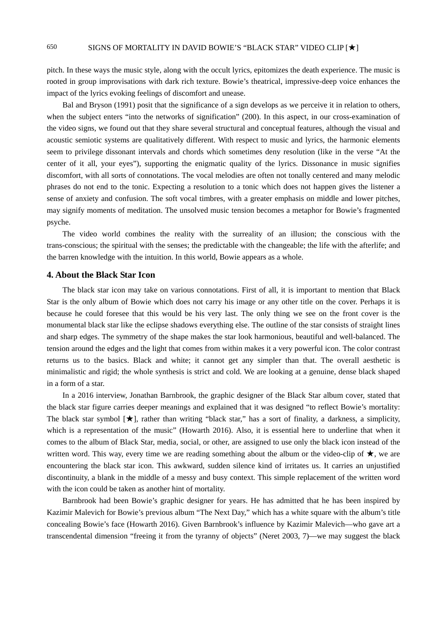pitch. In these ways the music style, along with the occult lyrics, epitomizes the death experience. The music is rooted in group improvisations with dark rich texture. Bowie's theatrical, impressive-deep voice enhances the impact of the lyrics evoking feelings of discomfort and unease.

Bal and Bryson (1991) posit that the significance of a sign develops as we perceive it in relation to others, when the subject enters "into the networks of signification" (200). In this aspect, in our cross-examination of the video signs, we found out that they share several structural and conceptual features, although the visual and acoustic semiotic systems are qualitatively different. With respect to music and lyrics, the harmonic elements seem to privilege dissonant intervals and chords which sometimes deny resolution (like in the verse "At the center of it all, your eyes"), supporting the enigmatic quality of the lyrics. Dissonance in music signifies discomfort, with all sorts of connotations. The vocal melodies are often not tonally centered and many melodic phrases do not end to the tonic. Expecting a resolution to a tonic which does not happen gives the listener a sense of anxiety and confusion. The soft vocal timbres, with a greater emphasis on middle and lower pitches, may signify moments of meditation. The unsolved music tension becomes a metaphor for Bowie's fragmented psyche.

The video world combines the reality with the surreality of an illusion; the conscious with the trans-conscious; the spiritual with the senses; the predictable with the changeable; the life with the afterlife; and the barren knowledge with the intuition. In this world, Bowie appears as a whole.

## **4. About the Black Star Icon**

The black star icon may take on various connotations. First of all, it is important to mention that Black Star is the only album of Bowie which does not carry his image or any other title on the cover. Perhaps it is because he could foresee that this would be his very last. The only thing we see on the front cover is the monumental black star like the eclipse shadows everything else. The outline of the star consists of straight lines and sharp edges. The symmetry of the shape makes the star look harmonious, beautiful and well-balanced. The tension around the edges and the light that comes from within makes it a very powerful icon. The color contrast returns us to the basics. Black and white; it cannot get any simpler than that. The overall aesthetic is minimalistic and rigid; the whole synthesis is strict and cold. We are looking at a genuine, dense black shaped in a form of a star.

In a 2016 interview, Jonathan Barnbrook, the graphic designer of the Black Star album cover, stated that the black star figure carries deeper meanings and explained that it was designed "to reflect Bowie's mortality: The black star symbol  $[\star]$ , rather than writing "black star," has a sort of finality, a darkness, a simplicity, which is a representation of the music" (Howarth 2016). Also, it is essential here to underline that when it comes to the album of Black Star, media, social, or other, are assigned to use only the black icon instead of the written word. This way, every time we are reading something about the album or the video-clip of  $\star$ , we are encountering the black star icon. This awkward, sudden silence kind of irritates us. It carries an unjustified discontinuity, a blank in the middle of a messy and busy context. This simple replacement of the written word with the icon could be taken as another hint of mortality.

Barnbrook had been Bowie's graphic designer for years. He has admitted that he has been inspired by Kazimir Malevich for Bowie's previous album "The Next Day," which has a white square with the album's title concealing Bowie's face (Howarth 2016). Given Barnbrook's influence by Kazimir Malevich—who gave art a transcendental dimension "freeing it from the tyranny of objects" (Neret 2003, 7)—we may suggest the black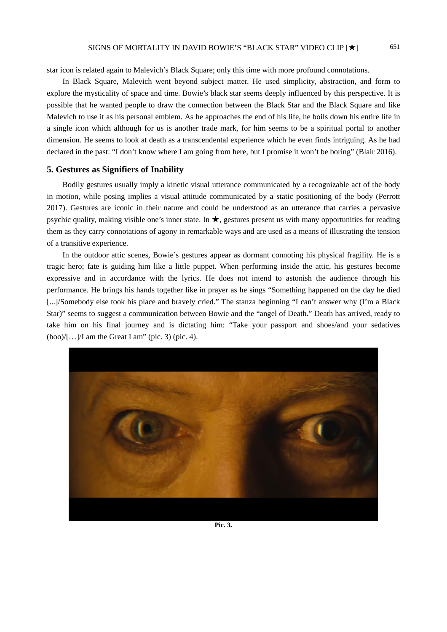star icon is related again to Malevich's Black Square; only this time with more profound connotations.

In Black Square, Malevich went beyond subject matter. He used simplicity, abstraction, and form to explore the mysticality of space and time. Bowie's black star seems deeply influenced by this perspective. It is possible that he wanted people to draw the connection between the Black Star and the Black Square and like Malevich to use it as his personal emblem. As he approaches the end of his life, he boils down his entire life in a single icon which although for us is another trade mark, for him seems to be a spiritual portal to another dimension. He seems to look at death as a transcendental experience which he even finds intriguing. As he had declared in the past: "I don't know where I am going from here, but I promise it won't be boring" (Blair 2016).

#### **5. Gestures as Signifiers of Inability**

Bodily gestures usually imply a kinetic visual utterance communicated by a recognizable act of the body in motion, while posing implies a visual attitude communicated by a static positioning of the body (Perrott 2017). Gestures are iconic in their nature and could be understood as an utterance that carries a pervasive psychic quality, making visible one's inner state. In  $\star$ , gestures present us with many opportunities for reading them as they carry connotations of agony in remarkable ways and are used as a means of illustrating the tension of a transitive experience.

In the outdoor attic scenes, Bowie's gestures appear as dormant connoting his physical fragility. He is a tragic hero; fate is guiding him like a little puppet. When performing inside the attic, his gestures become expressive and in accordance with the lyrics. He does not intend to astonish the audience through his performance. He brings his hands together like in prayer as he sings "Something happened on the day he died [...]/Somebody else took his place and bravely cried." The stanza beginning "I can't answer why (I'm a Black Star)" seems to suggest a communication between Bowie and the "angel of Death." Death has arrived, ready to take him on his final journey and is dictating him: "Take your passport and shoes/and your sedatives  $(boo)/[...]/I$  am the Great I am" (pic. 3) (pic. 4).



**Pic. 3.**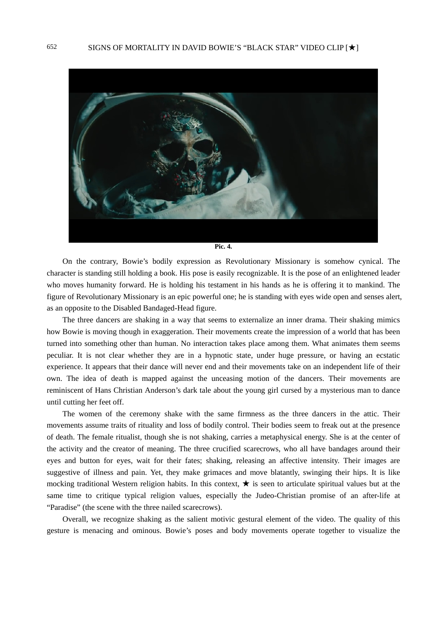

**Pic. 4.** 

On the contrary, Bowie's bodily expression as Revolutionary Missionary is somehow cynical. The character is standing still holding a book. His pose is easily recognizable. It is the pose of an enlightened leader who moves humanity forward. He is holding his testament in his hands as he is offering it to mankind. The figure of Revolutionary Missionary is an epic powerful one; he is standing with eyes wide open and senses alert, as an opposite to the Disabled Bandaged-Head figure.

The three dancers are shaking in a way that seems to externalize an inner drama. Their shaking mimics how Bowie is moving though in exaggeration. Their movements create the impression of a world that has been turned into something other than human. No interaction takes place among them. What animates them seems peculiar. It is not clear whether they are in a hypnotic state, under huge pressure, or having an ecstatic experience. It appears that their dance will never end and their movements take on an independent life of their own. The idea of death is mapped against the unceasing motion of the dancers. Their movements are reminiscent of Hans Christian Anderson's dark tale about the young girl cursed by a mysterious man to dance until cutting her feet off.

The women of the ceremony shake with the same firmness as the three dancers in the attic. Their movements assume traits of rituality and loss of bodily control. Their bodies seem to freak out at the presence of death. The female ritualist, though she is not shaking, carries a metaphysical energy. She is at the center of the activity and the creator of meaning. The three crucified scarecrows, who all have bandages around their eyes and button for eyes, wait for their fates; shaking, releasing an affective intensity. Their images are suggestive of illness and pain. Yet, they make grimaces and move blatantly, swinging their hips. It is like mocking traditional Western religion habits. In this context,  $\star$  is seen to articulate spiritual values but at the same time to critique typical religion values, especially the Judeo-Christian promise of an after-life at "Paradise" (the scene with the three nailed scarecrows).

Overall, we recognize shaking as the salient motivic gestural element of the video. The quality of this gesture is menacing and ominous. Bowie's poses and body movements operate together to visualize the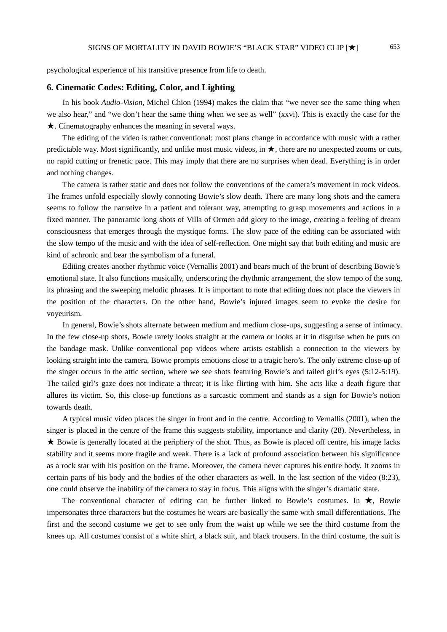psychological experience of his transitive presence from life to death.

#### **6. Cinematic Codes: Editing, Color, and Lighting**

In his book *Audio-Vision*, Michel Chion (1994) makes the claim that "we never see the same thing when we also hear," and "we don't hear the same thing when we see as well" (xxvi). This is exactly the case for the ★. Cinematography enhances the meaning in several ways.

The editing of the video is rather conventional: most plans change in accordance with music with a rather predictable way. Most significantly, and unlike most music videos, in  $\star$ , there are no unexpected zooms or cuts, no rapid cutting or frenetic pace. This may imply that there are no surprises when dead. Everything is in order and nothing changes.

The camera is rather static and does not follow the conventions of the camera's movement in rock videos. The frames unfold especially slowly connoting Bowie's slow death. There are many long shots and the camera seems to follow the narrative in a patient and tolerant way, attempting to grasp movements and actions in a fixed manner. The panoramic long shots of Villa of Ormen add glory to the image, creating a feeling of dream consciousness that emerges through the mystique forms. The slow pace of the editing can be associated with the slow tempo of the music and with the idea of self-reflection. One might say that both editing and music are kind of achronic and bear the symbolism of a funeral.

Editing creates another rhythmic voice (Vernallis 2001) and bears much of the brunt of describing Bowie's emotional state. It also functions musically, underscoring the rhythmic arrangement, the slow tempo of the song, its phrasing and the sweeping melodic phrases. It is important to note that editing does not place the viewers in the position of the characters. On the other hand, Bowie's injured images seem to evoke the desire for voyeurism.

In general, Bowie's shots alternate between medium and medium close-ups, suggesting a sense of intimacy. In the few close-up shots, Bowie rarely looks straight at the camera or looks at it in disguise when he puts on the bandage mask. Unlike conventional pop videos where artists establish a connection to the viewers by looking straight into the camera, Bowie prompts emotions close to a tragic hero's. The only extreme close-up of the singer occurs in the attic section, where we see shots featuring Bowie's and tailed girl's eyes (5:12-5:19). The tailed girl's gaze does not indicate a threat; it is like flirting with him. She acts like a death figure that allures its victim. So, this close-up functions as a sarcastic comment and stands as a sign for Bowie's notion towards death.

A typical music video places the singer in front and in the centre. According to Vernallis (2001), when the singer is placed in the centre of the frame this suggests stability, importance and clarity (28). Nevertheless, in ★ Bowie is generally located at the periphery of the shot. Thus, as Bowie is placed off centre, his image lacks stability and it seems more fragile and weak. There is a lack of profound association between his significance as a rock star with his position on the frame. Moreover, the camera never captures his entire body. It zooms in certain parts of his body and the bodies of the other characters as well. In the last section of the video (8:23), one could observe the inability of the camera to stay in focus. This aligns with the singer's dramatic state.

The conventional character of editing can be further linked to Bowie's costumes. In  $\star$ , Bowie impersonates three characters but the costumes he wears are basically the same with small differentiations. The first and the second costume we get to see only from the waist up while we see the third costume from the knees up. All costumes consist of a white shirt, a black suit, and black trousers. In the third costume, the suit is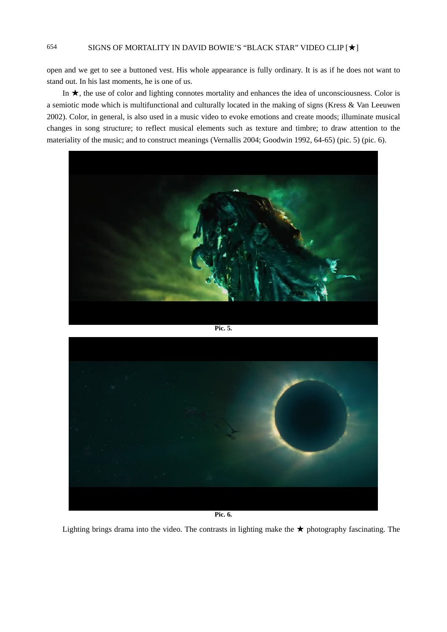open and we get to see a buttoned vest. His whole appearance is fully ordinary. It is as if he does not want to stand out. In his last moments, he is one of us.

In ★, the use of color and lighting connotes mortality and enhances the idea of unconsciousness. Color is a semiotic mode which is multifunctional and culturally located in the making of signs (Kress & Van Leeuwen 2002). Color, in general, is also used in a music video to evoke emotions and create moods; illuminate musical changes in song structure; to reflect musical elements such as texture and timbre; to draw attention to the materiality of the music; and to construct meanings (Vernallis 2004; Goodwin 1992, 64-65) (pic. 5) (pic. 6).



**Pic. 5.**



**Pic. 6.** 

Lighting brings drama into the video. The contrasts in lighting make the ★ photography fascinating. The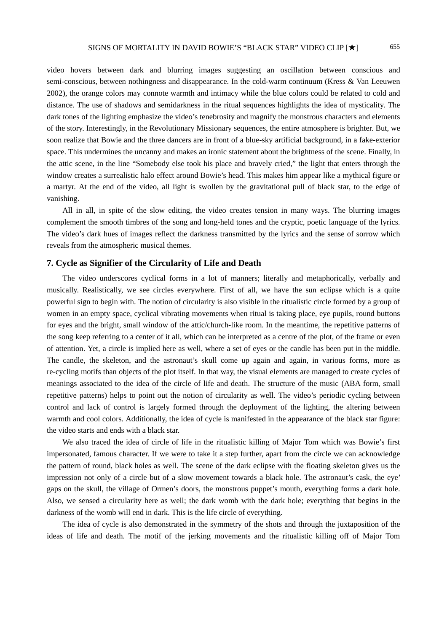video hovers between dark and blurring images suggesting an oscillation between conscious and semi-conscious, between nothingness and disappearance. In the cold-warm continuum (Kress & Van Leeuwen 2002), the orange colors may connote warmth and intimacy while the blue colors could be related to cold and distance. The use of shadows and semidarkness in the ritual sequences highlights the idea of mysticality. The dark tones of the lighting emphasize the video's tenebrosity and magnify the monstrous characters and elements of the story. Interestingly, in the Revolutionary Missionary sequences, the entire atmosphere is brighter. But, we soon realize that Bowie and the three dancers are in front of a blue-sky artificial background, in a fake-exterior space. This undermines the uncanny and makes an ironic statement about the brightness of the scene. Finally, in the attic scene, in the line "Somebody else took his place and bravely cried," the light that enters through the window creates a surrealistic halo effect around Bowie's head. This makes him appear like a mythical figure or a martyr. At the end of the video, all light is swollen by the gravitational pull of black star, to the edge of vanishing.

All in all, in spite of the slow editing, the video creates tension in many ways. The blurring images complement the smooth timbres of the song and long-held tones and the cryptic, poetic language of the lyrics. The video's dark hues of images reflect the darkness transmitted by the lyrics and the sense of sorrow which reveals from the atmospheric musical themes.

## **7. Cycle as Signifier of the Circularity of Life and Death**

The video underscores cyclical forms in a lot of manners; literally and metaphorically, verbally and musically. Realistically, we see circles everywhere. First of all, we have the sun eclipse which is a quite powerful sign to begin with. The notion of circularity is also visible in the ritualistic circle formed by a group of women in an empty space, cyclical vibrating movements when ritual is taking place, eye pupils, round buttons for eyes and the bright, small window of the attic/church-like room. In the meantime, the repetitive patterns of the song keep referring to a center of it all, which can be interpreted as a centre of the plot, of the frame or even of attention. Yet, a circle is implied here as well, where a set of eyes or the candle has been put in the middle. The candle, the skeleton, and the astronaut's skull come up again and again, in various forms, more as re-cycling motifs than objects of the plot itself. In that way, the visual elements are managed to create cycles of meanings associated to the idea of the circle of life and death. The structure of the music (ABA form, small repetitive patterns) helps to point out the notion of circularity as well. The video's periodic cycling between control and lack of control is largely formed through the deployment of the lighting, the altering between warmth and cool colors. Additionally, the idea of cycle is manifested in the appearance of the black star figure: the video starts and ends with a black star.

We also traced the idea of circle of life in the ritualistic killing of Major Tom which was Bowie's first impersonated, famous character. If we were to take it a step further, apart from the circle we can acknowledge the pattern of round, black holes as well. The scene of the dark eclipse with the floating skeleton gives us the impression not only of a circle but of a slow movement towards a black hole. The astronaut's cask, the eye' gaps on the skull, the village of Ormen's doors, the monstrous puppet's mouth, everything forms a dark hole. Also, we sensed a circularity here as well; the dark womb with the dark hole; everything that begins in the darkness of the womb will end in dark. This is the life circle of everything.

The idea of cycle is also demonstrated in the symmetry of the shots and through the juxtaposition of the ideas of life and death. The motif of the jerking movements and the ritualistic killing off of Major Tom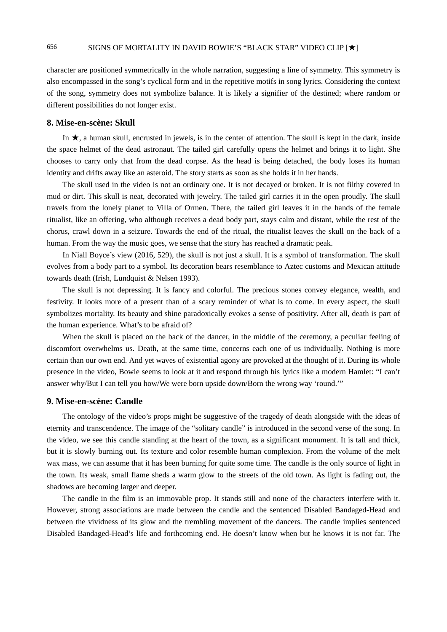character are positioned symmetrically in the whole narration, suggesting a line of symmetry. This symmetry is also encompassed in the song's cyclical form and in the repetitive motifs in song lyrics. Considering the context of the song, symmetry does not symbolize balance. It is likely a signifier of the destined; where random or different possibilities do not longer exist.

## **8. Mise-en-scène: Skull**

In ★, a human skull, encrusted in jewels, is in the center of attention. The skull is kept in the dark, inside the space helmet of the dead astronaut. The tailed girl carefully opens the helmet and brings it to light. She chooses to carry only that from the dead corpse. As the head is being detached, the body loses its human identity and drifts away like an asteroid. The story starts as soon as she holds it in her hands.

The skull used in the video is not an ordinary one. It is not decayed or broken. It is not filthy covered in mud or dirt. This skull is neat, decorated with jewelry. The tailed girl carries it in the open proudly. The skull travels from the lonely planet to Villa of Ormen. There, the tailed girl leaves it in the hands of the female ritualist, like an offering, who although receives a dead body part, stays calm and distant, while the rest of the chorus, crawl down in a seizure. Towards the end of the ritual, the ritualist leaves the skull on the back of a human. From the way the music goes, we sense that the story has reached a dramatic peak.

In Niall Boyce's view (2016, 529), the skull is not just a skull. It is a symbol of transformation. The skull evolves from a body part to a symbol. Its decoration bears resemblance to Aztec customs and Mexican attitude towards death (Irish, Lundquist & Nelsen 1993).

The skull is not depressing. It is fancy and colorful. The precious stones convey elegance, wealth, and festivity. It looks more of a present than of a scary reminder of what is to come. In every aspect, the skull symbolizes mortality. Its beauty and shine paradoxically evokes a sense of positivity. After all, death is part of the human experience. What's to be afraid of?

When the skull is placed on the back of the dancer, in the middle of the ceremony, a peculiar feeling of discomfort overwhelms us. Death, at the same time, concerns each one of us individually. Nothing is more certain than our own end. And yet waves of existential agony are provoked at the thought of it. During its whole presence in the video, Bowie seems to look at it and respond through his lyrics like a modern Hamlet: "I can't answer why/But I can tell you how/We were born upside down/Born the wrong way 'round.'"

#### **9. Mise-en-scène: Candle**

The ontology of the video's props might be suggestive of the tragedy of death alongside with the ideas of eternity and transcendence. The image of the "solitary candle" is introduced in the second verse of the song. In the video, we see this candle standing at the heart of the town, as a significant monument. It is tall and thick, but it is slowly burning out. Its texture and color resemble human complexion. From the volume of the melt wax mass, we can assume that it has been burning for quite some time. The candle is the only source of light in the town. Its weak, small flame sheds a warm glow to the streets of the old town. As light is fading out, the shadows are becoming larger and deeper.

The candle in the film is an immovable prop. It stands still and none of the characters interfere with it. However, strong associations are made between the candle and the sentenced Disabled Bandaged-Head and between the vividness of its glow and the trembling movement of the dancers. The candle implies sentenced Disabled Bandaged-Head's life and forthcoming end. He doesn't know when but he knows it is not far. The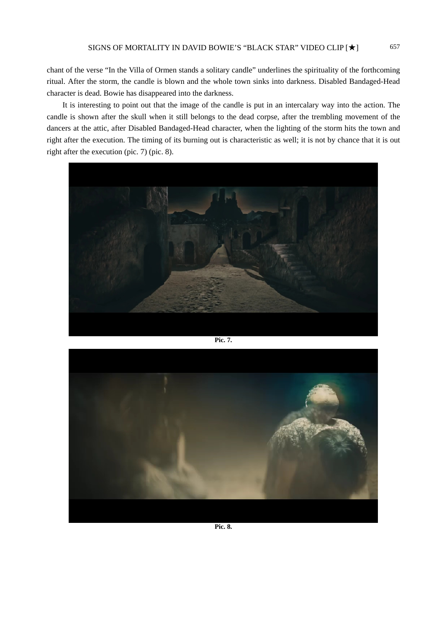chant of the verse "In the Villa of Ormen stands a solitary candle" underlines the spirituality of the forthcoming ritual. After the storm, the candle is blown and the whole town sinks into darkness. Disabled Bandaged-Head character is dead. Bowie has disappeared into the darkness.

It is interesting to point out that the image of the candle is put in an intercalary way into the action. The candle is shown after the skull when it still belongs to the dead corpse, after the trembling movement of the dancers at the attic, after Disabled Bandaged-Head character, when the lighting of the storm hits the town and right after the execution. The timing of its burning out is characteristic as well; it is not by chance that it is out right after the execution (pic. 7) (pic. 8).



**Pic. 7.**



**Pic. 8.**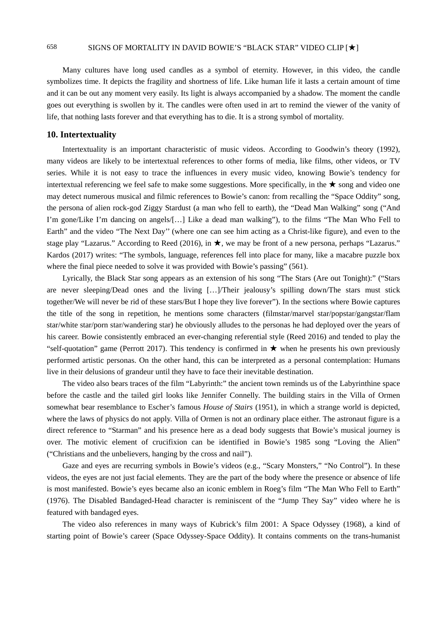Many cultures have long used candles as a symbol of eternity. However, in this video, the candle symbolizes time. It depicts the fragility and shortness of life. Like human life it lasts a certain amount of time and it can be out any moment very easily. Its light is always accompanied by a shadow. The moment the candle goes out everything is swollen by it. The candles were often used in art to remind the viewer of the vanity of life, that nothing lasts forever and that everything has to die. It is a strong symbol of mortality.

## **10. Intertextuality**

Intertextuality is an important characteristic of music videos. According to Goodwin's theory (1992), many videos are likely to be intertextual references to other forms of media, like films, other videos, or TV series. While it is not easy to trace the influences in every music video, knowing Bowie's tendency for intertextual referencing we feel safe to make some suggestions. More specifically, in the ★ song and video one may detect numerous musical and filmic references to Bowie's canon: from recalling the "Space Oddity" song, the persona of alien rock-god Ziggy Stardust (a man who fell to earth), the "Dead Man Walking" song ("And I'm gone/Like I'm dancing on angels/[…] Like a dead man walking"), to the films "The Man Who Fell to Earth" and the video "The Next Day'' (where one can see him acting as a Christ-like figure), and even to the stage play "Lazarus." According to Reed (2016), in ★, we may be front of a new persona, perhaps "Lazarus." Kardos (2017) writes: "The symbols, language, references fell into place for many, like a macabre puzzle box where the final piece needed to solve it was provided with Bowie's passing" (561).

Lyrically, the Black Star song appears as an extension of his song "The Stars (Are out Tonight):" ("Stars are never sleeping/Dead ones and the living […]/Their jealousy's spilling down/The stars must stick together/We will never be rid of these stars/But I hope they live forever"). In the sections where Bowie captures the title of the song in repetition, he mentions some characters (filmstar/marvel star/popstar/gangstar/flam star/white star/porn star/wandering star) he obviously alludes to the personas he had deployed over the years of his career. Bowie consistently embraced an ever-changing referential style (Reed 2016) and tended to play the "self-quotation" game (Perrott 2017). This tendency is confirmed in ★ when he presents his own previously performed artistic personas. On the other hand, this can be interpreted as a personal contemplation: Humans live in their delusions of grandeur until they have to face their inevitable destination.

The video also bears traces of the film "Labyrinth:" the ancient town reminds us of the Labyrinthine space before the castle and the tailed girl looks like Jennifer Connelly. The building stairs in the Villa of Ormen somewhat bear resemblance to Escher's famous *House of Stairs* (1951), in which a strange world is depicted, where the laws of physics do not apply. Villa of Ormen is not an ordinary place either. The astronaut figure is a direct reference to "Starman" and his presence here as a dead body suggests that Bowie's musical journey is over. The motivic element of crucifixion can be identified in Bowie's 1985 song "Loving the Alien" ("Christians and the unbelievers, hanging by the cross and nail").

Gaze and eyes are recurring symbols in Bowie's videos (e.g., "Scary Monsters," "No Control"). In these videos, the eyes are not just facial elements. They are the part of the body where the presence or absence of life is most manifested. Bowie's eyes became also an iconic emblem in Roeg's film "The Man Who Fell to Earth" (1976). The Disabled Bandaged-Head character is reminiscent of the "Jump They Say" video where he is featured with bandaged eyes.

The video also references in many ways of Kubrick's film 2001: A Space Odyssey (1968), a kind of starting point of Bowie's career (Space Odyssey-Space Oddity). It contains comments on the trans-humanist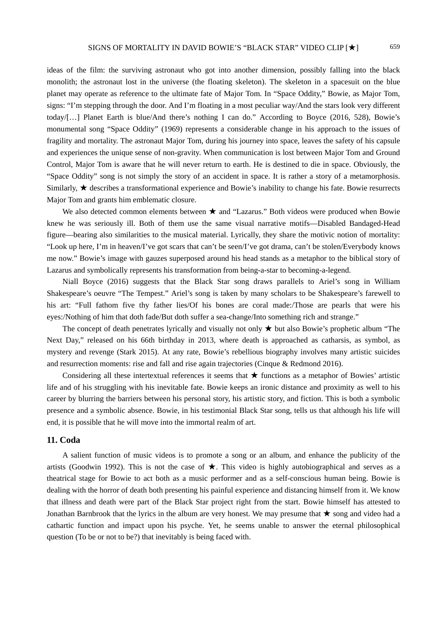ideas of the film: the surviving astronaut who got into another dimension, possibly falling into the black monolith; the astronaut lost in the universe (the floating skeleton). The skeleton in a spacesuit on the blue planet may operate as reference to the ultimate fate of Major Tom. In "Space Oddity," Bowie, as Major Tom, signs: "I'm stepping through the door. And I'm floating in a most peculiar way/And the stars look very different today/[…] Planet Earth is blue/And there's nothing I can do." According to Boyce (2016, 528), Bowie's monumental song "Space Oddity" (1969) represents a considerable change in his approach to the issues of fragility and mortality. The astronaut Major Tom, during his journey into space, leaves the safety of his capsule and experiences the unique sense of non-gravity. When communication is lost between Major Tom and Ground Control, Major Tom is aware that he will never return to earth. He is destined to die in space. Obviously, the "Space Oddity" song is not simply the story of an accident in space. It is rather a story of a metamorphosis. Similarly, ★ describes a transformational experience and Bowie's inability to change his fate. Bowie resurrects Major Tom and grants him emblematic closure.

We also detected common elements between ★ and "Lazarus." Both videos were produced when Bowie knew he was seriously ill. Both of them use the same visual narrative motifs—Disabled Bandaged-Head figure—bearing also similarities to the musical material. Lyrically, they share the motivic notion of mortality: "Look up here, I'm in heaven/I've got scars that can't be seen/I've got drama, can't be stolen/Everybody knows me now." Bowie's image with gauzes superposed around his head stands as a metaphor to the biblical story of Lazarus and symbolically represents his transformation from being-a-star to becoming-a-legend.

Niall Boyce (2016) suggests that the Black Star song draws parallels to Ariel's song in William Shakespeare's oeuvre "The Tempest." Ariel's song is taken by many scholars to be Shakespeare's farewell to his art: "Full fathom five thy father lies/Of his bones are coral made:/Those are pearls that were his eyes:/Nothing of him that doth fade/But doth suffer a sea-change/Into something rich and strange."

The concept of death penetrates lyrically and visually not only  $\star$  but also Bowie's prophetic album "The Next Day," released on his 66th birthday in 2013, where death is approached as catharsis, as symbol, as mystery and revenge (Stark 2015). At any rate, Bowie's rebellious biography involves many artistic suicides and resurrection moments: rise and fall and rise again trajectories (Cinque & Redmond 2016).

Considering all these intertextual references it seems that  $\star$  functions as a metaphor of Bowies' artistic life and of his struggling with his inevitable fate. Bowie keeps an ironic distance and proximity as well to his career by blurring the barriers between his personal story, his artistic story, and fiction. This is both a symbolic presence and a symbolic absence. Bowie, in his testimonial Black Star song, tells us that although his life will end, it is possible that he will move into the immortal realm of art.

## **11. Coda**

A salient function of music videos is to promote a song or an album, and enhance the publicity of the artists (Goodwin 1992). This is not the case of ★. This video is highly autobiographical and serves as a theatrical stage for Bowie to act both as a music performer and as a self-conscious human being. Bowie is dealing with the horror of death both presenting his painful experience and distancing himself from it. We know that illness and death were part of the Black Star project right from the start. Bowie himself has attested to Jonathan Barnbrook that the lyrics in the album are very honest. We may presume that ★ song and video had a cathartic function and impact upon his psyche. Yet, he seems unable to answer the eternal philosophical question (To be or not to be?) that inevitably is being faced with.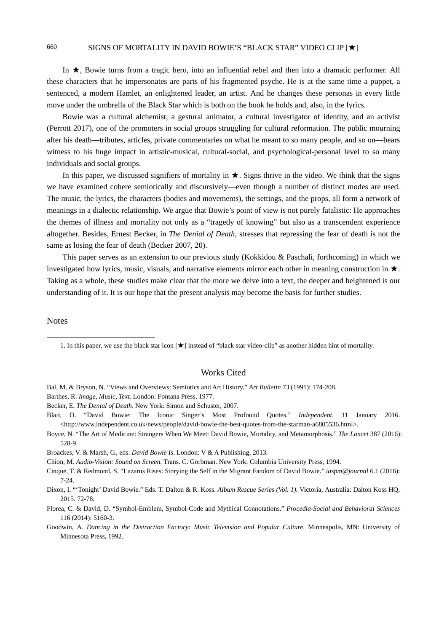In ★, Bowie turns from a tragic hero, into an influential rebel and then into a dramatic performer. All these characters that he impersonates are parts of his fragmented psyche. He is at the same time a puppet, a sentenced, a modern Hamlet, an enlightened leader, an artist. And he changes these personas in every little move under the umbrella of the Black Star which is both on the book he holds and, also, in the lyrics.

Bowie was a cultural alchemist, a gestural animator, a cultural investigator of identity, and an activist (Perrott 2017), one of the promoters in social groups struggling for cultural reformation. The public mourning after his death—tributes, articles, private commentaries on what he meant to so many people, and so on—bears witness to his huge impact in artistic-musical, cultural-social, and psychological-personal level to so many individuals and social groups.

In this paper, we discussed signifiers of mortality in  $\star$ . Signs thrive in the video. We think that the signs we have examined cohere semiotically and discursively—even though a number of distinct modes are used. The music, the lyrics, the characters (bodies and movements), the settings, and the props, all form a network of meanings in a dialectic relationship. We argue that Bowie's point of view is not purely fatalistic: He approaches the themes of illness and mortality not only as a "tragedy of knowing" but also as a transcendent experience altogether. Besides, Ernest Becker, in *The Denial of Death*, stresses that repressing the fear of death is not the same as losing the fear of death (Becker 2007, 20).

This paper serves as an extension to our previous study (Kokkidou & Paschali, forthcoming) in which we investigated how lyrics, music, visuals, and narrative elements mirror each other in meaning construction in ★. Taking as a whole, these studies make clear that the more we delve into a text, the deeper and heightened is our understanding of it. It is our hope that the present analysis may become the basis for further studies.

#### **Notes**

 $\overline{a}$ 

1. In this paper, we use the black star icon [★] instead of "black star video-clip" as another hidden hint of mortality.

#### Works Cited

- Bal, M. & Bryson, N. "Views and Overviews: Semiotics and Art History." *Art Bulletin* 73 (1991): 174-208.
- Barthes, R. *Image, Music, Text*. London: Fontana Press, 1977.
- Becker, E. *The Denial of Death*. New York: Simon and Schuster, 2007.
- Blair, O. "David Bowie: The Iconic Singer's Most Profound Quotes." *Independent*. 11 January 2016. <http://www.independent.co.uk/news/people/david-bowie-the-best-quotes-from-the-starman-a6805536.html>.
- Boyce, N. "The Art of Medicine: Strangers When We Meet: David Bowie, Mortality, and Metamorphosis." *The Lancet* 387 (2016): 528-9.

Broackes, V. & Marsh, G., eds. *David Bowie Is*. London: V & A Publishing, 2013.

Chion, M. *Audio-Vision: Sound on Screen.* Trans. C. Gorbman. New York: Columbia University Press, 1994.

Cinque, T. & Redmond, S. "Lazarus Rises: Storying the Self in the Migrant Fandom of David Bowie." *iaspm@journal* 6.1 (2016): 7-24.

Dixon, I. "'Tonight' David Bowie." Eds. T. Dalton & R. Koss. *Album Rescue Series (Vol. 1).* Victoria, Australia: Dalton Koss HQ, 2015. 72-78.

Florea, C. & David, D. "Symbol-Emblem, Symbol-Code and Mythical Connotations." *Procedia-Social and Behavioral Sciences* 116 (2014): 5160-3.

Goodwin, A. *Dancing in the Distraction Factory: Music Television and Popular Culture*. Minneapolis, MN: University of Minnesota Press, 1992.